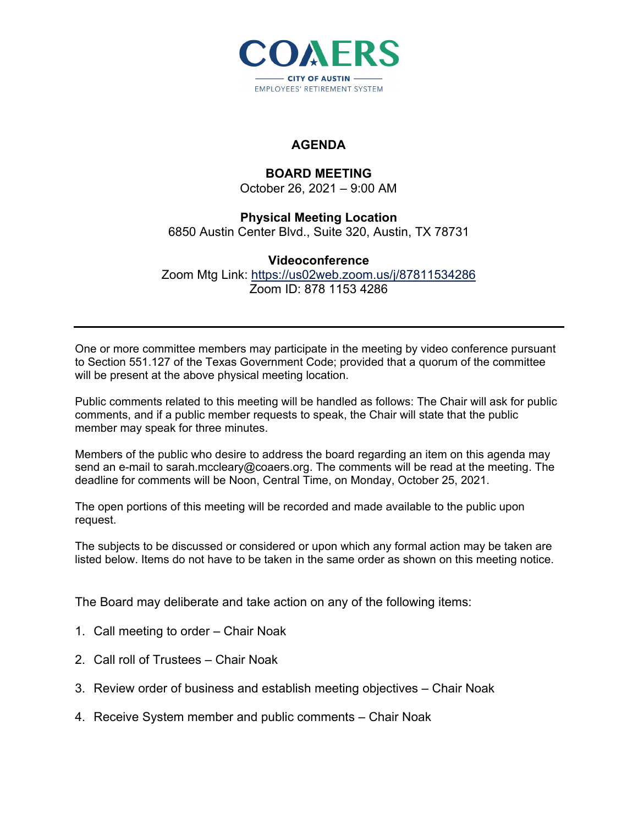

## **AGENDA**

## **BOARD MEETING**

October 26, 2021 – 9:00 AM

## **Physical Meeting Location**  6850 Austin Center Blvd., Suite 320, Austin, TX 78731

## **Videoconference**

Zoom Mtg Link: https://us02web.zoom.us/j/87811534286 Zoom ID: 878 1153 4286

One or more committee members may participate in the meeting by video conference pursuant to Section 551.127 of the Texas Government Code; provided that a quorum of the committee will be present at the above physical meeting location.

Public comments related to this meeting will be handled as follows: The Chair will ask for public comments, and if a public member requests to speak, the Chair will state that the public member may speak for three minutes.

Members of the public who desire to address the board regarding an item on this agenda may send an e-mail to sarah.mccleary@coaers.org. The comments will be read at the meeting. The deadline for comments will be Noon, Central Time, on Monday, October 25, 2021.

The open portions of this meeting will be recorded and made available to the public upon request.

The subjects to be discussed or considered or upon which any formal action may be taken are listed below. Items do not have to be taken in the same order as shown on this meeting notice.

The Board may deliberate and take action on any of the following items:

- 1. Call meeting to order Chair Noak
- 2. Call roll of Trustees Chair Noak
- 3. Review order of business and establish meeting objectives Chair Noak
- 4. Receive System member and public comments Chair Noak